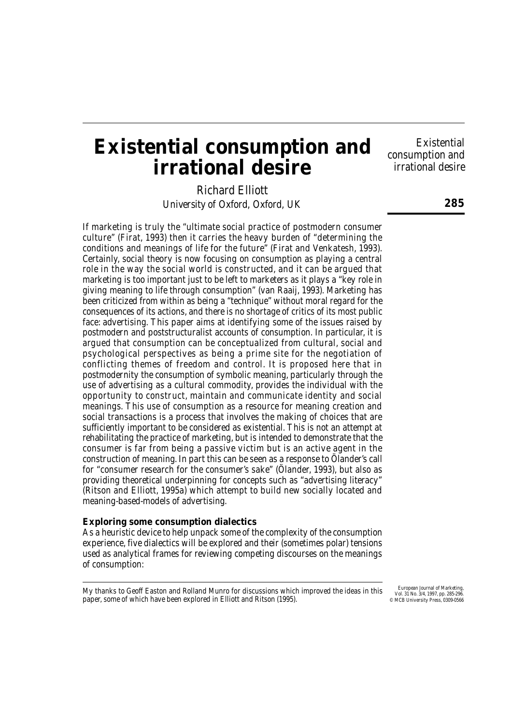# **Existential consumption and irrational desire**

Existential consumption and irrational desire

Richard Elliott *University of Oxford, Oxford, UK*

If marketing is truly the "ultimate social practice of postmodern consumer culture" (Firat, 1993) then it carries the heavy burden of "determining the conditions and meanings of life for the future" (Firat and Venkatesh, 1993). Certainly, social theory is now focusing on consumption as playing a central role in the way the social world is constructed, and it can be argued that marketing is too important just to be left to marketers as it plays a "key role in giving meaning to life through consumption" (van Raaij, 1993). Marketing has been criticized from within as being a "technique" without moral regard for the consequences of its actions, and there is no shortage of critics of its most public face: advertising. This paper aims at identifying some of the issues raised by postmodern and poststructuralist accounts of consumption. In particular, it is argued that consumption can be conceptualized from cultural, social and psychological perspectives as being a prime site for the negotiation of conflicting themes of freedom and control. It is proposed here that in postmodernity the consumption of symbolic meaning, particularly through the use of advertising as a cultural commodity, provides the individual with the opportunity to construct, maintain and communicate identity and social meanings. This use of consumption as a resource for meaning creation and social transactions is a process that involves the making of choices that are sufficiently important to be considered as existential. This is not an attempt at rehabilitating the practice of marketing, but is intended to demonstrate that the consumer is far from being a passive victim but is an active agent in the construction of meaning. In part this can be seen as a response to Ölander's call for "consumer research for the consumer's sake" (Ölander, 1993), but also as providing theoretical underpinning for concepts such as "advertising literacy" (Ritson and Elliott, 1995a) which attempt to build new socially located and meaning-based-models of advertising.

# **Exploring some consumption dialectics**

As a heuristic device to help unpack some of the complexity of the consumption experience, five dialectics will be explored and their (sometimes polar) tensions used as analytical frames for reviewing competing discourses on the meanings of consumption:

My thanks to Geoff Easton and Rolland Munro for discussions which improved the ideas in this paper, some of which have been explored in Elliott and Ritson (1995).

European Journal of Marketing, Vol. 31 No. 3/4, 1997, pp. 285-296. © MCB University Press, 0309-0566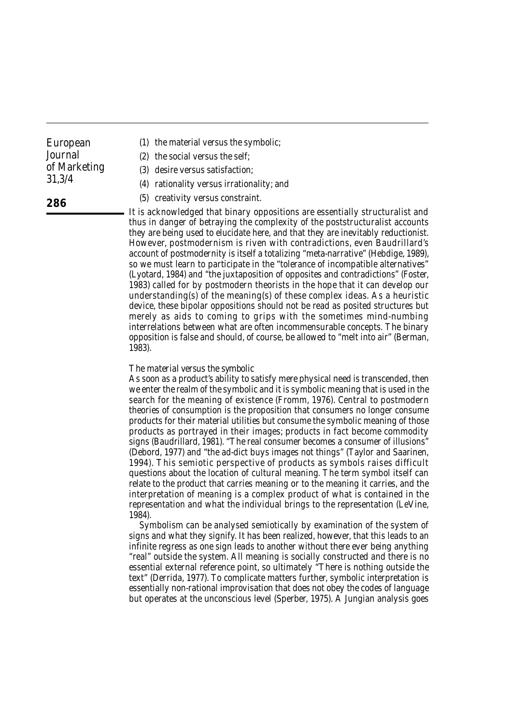**286**

- (1) the material versus the symbolic;
- (2) the social versus the self;
- (3) desire versus satisfaction;
- (4) rationality versus irrationality; and
- (5) creativity versus constraint.

It is acknowledged that binary oppositions are essentially structuralist and thus in danger of betraying the complexity of the poststructuralist accounts they are being used to elucidate here, and that they are inevitably reductionist. However, postmodernism is riven with contradictions, even Baudrillard's account of postmodernity is itself a totalizing "meta-narrative" (Hebdige, 1989), so we must learn to participate in the "tolerance of incompatible alternatives" (Lyotard, 1984) and "the juxtaposition of opposites and contradictions" (Foster, 1983) called for by postmodern theorists in the hope that it can develop our understanding(s) of the meaning(s) of these complex ideas. As a heuristic device, these bipolar oppositions should not be read as posited structures but merely as aids to coming to grips with the sometimes mind-numbing interrelations between what are often incommensurable concepts. The binary opposition is false and should, of course, be allowed to "melt into air" (Berman, 1983).

# *The material versus the symbolic*

As soon as a product's ability to satisfy mere physical need is transcended, then we enter the realm of the symbolic and it is symbolic meaning that is used in the search for the meaning of existence (Fromm, 1976). Central to postmodern theories of consumption is the proposition that consumers no longer consume products for their material utilities but consume the symbolic meaning of those products as portrayed in their images; products in fact become commodity signs (Baudrillard, 1981). "The real consumer becomes a consumer of illusions" (Debord, 1977) and "the ad-dict buys images not things" (Taylor and Saarinen, 1994). This semiotic perspective of products as symbols raises difficult questions about the location of cultural meaning. The term symbol itself can relate to the product that carries meaning or to the meaning it carries, and the interpretation of meaning is a complex product of what is contained in the representation and what the individual brings to the representation (LeVine, 1984).

Symbolism can be analysed semiotically by examination of the system of signs and what they signify. It has been realized, however, that this leads to an infinite regress as one sign leads to another without there ever being anything "real" outside the system. All meaning is socially constructed and there is no essential external reference point, so ultimately "There is nothing outside the text" (Derrida, 1977). To complicate matters further, symbolic interpretation is essentially non-rational improvisation that does not obey the codes of language but operates at the unconscious level (Sperber, 1975). A Jungian analysis goes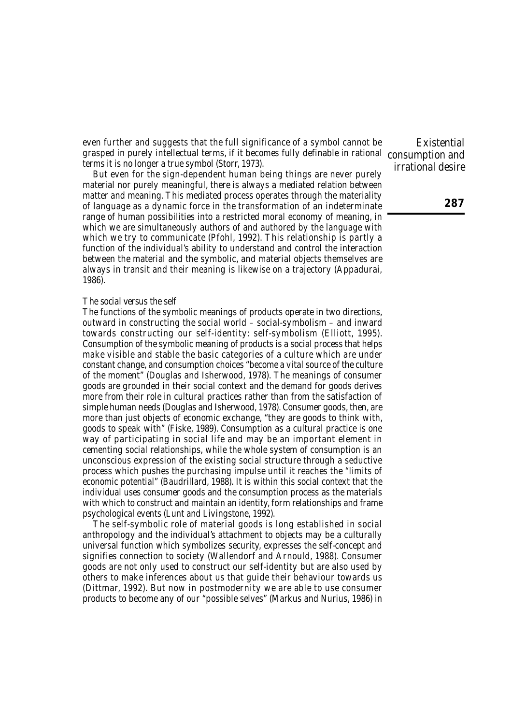even further and suggests that the full significance of a symbol cannot be grasped in purely intellectual terms, if it becomes fully definable in rational terms it is no longer a true symbol (Storr, 1973).

But even for the sign-dependent human being things are never purely material nor purely meaningful, there is always a mediated relation between matter and meaning. This mediated process operates through the materiality of language as a dynamic force in the transformation of an indeterminate range of human possibilities into a restricted moral economy of meaning, in which we are simultaneously authors of and authored by the language with which we try to communicate (Pfohl, 1992). This relationship is partly a function of the individual's ability to understand and control the interaction between the material and the symbolic, and material objects themselves are always in transit and their meaning is likewise on a trajectory (Appadurai, 1986).

#### *The social versus the self*

The functions of the symbolic meanings of products operate in two directions, outward in constructing the social world – social-symbolism – and inward towards constructing our self-identity: self-symbolism (Elliott, 1995). Consumption of the symbolic meaning of products is a social process that helps make visible and stable the basic categories of a culture which are under constant change, and consumption choices "become a vital source of the culture of the moment" (Douglas and Isherwood, 1978). The meanings of consumer goods are grounded in their social context and the demand for goods derives more from their role in cultural practices rather than from the satisfaction of simple human needs (Douglas and Isherwood, 1978). Consumer goods, then, are more than just objects of economic exchange, "they are goods to think with, goods to speak with" (Fiske, 1989). Consumption as a cultural practice is one way of participating in social life and may be an important element in cementing social relationships, while the whole system of consumption is an unconscious expression of the existing social structure through a seductive process which pushes the purchasing impulse until it reaches the "limits of economic potential" (Baudrillard, 1988). It is within this social context that the individual uses consumer goods and the consumption process as the materials with which to construct and maintain an identity, form relationships and frame psychological events (Lunt and Livingstone, 1992).

The self-symbolic role of material goods is long established in social anthropology and the individual's attachment to objects may be a culturally universal function which symbolizes security, expresses the self-concept and signifies connection to society (Wallendorf and Arnould, 1988). Consumer goods are not only used to construct our self-identity but are also used by others to make inferences about us that guide their behaviour towards us (Dittmar, 1992). But now in postmodernity we are able to use consumer products to become any of our "possible selves" (Markus and Nurius, 1986) in

Existential consumption and irrational desire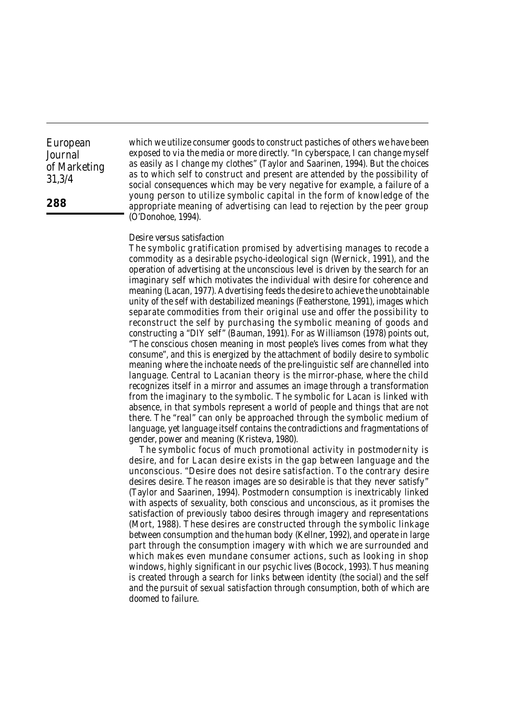**288**

which we utilize consumer goods to construct pastiches of others we have been exposed to via the media or more directly. "In cyberspace, I can change myself as easily as I change my clothes" (Taylor and Saarinen, 1994). But the choices as to which self to construct and present are attended by the possibility of social consequences which may be very negative for example, a failure of a young person to utilize symbolic capital in the form of knowledge of the appropriate meaning of advertising can lead to rejection by the peer group (O'Donohoe, 1994).

### *Desire versus satisfaction*

The symbolic gratification promised by advertising manages to recode a commodity as a desirable psycho-ideological sign (Wernick, 1991), and the operation of advertising at the unconscious level is driven by the search for an imaginary self which motivates the individual with desire for coherence and meaning (Lacan, 1977). Advertising feeds the desire to achieve the unobtainable unity of the self with destabilized meanings (Featherstone, 1991), images which separate commodities from their original use and offer the possibility to reconstruct the self by purchasing the symbolic meaning of goods and constructing a "DIY self" (Bauman, 1991). For as Williamson (1978) points out, "The conscious chosen meaning in most people's lives comes from what they consume", and this is energized by the attachment of bodily desire to symbolic meaning where the inchoate needs of the pre-linguistic self are channelled into language. Central to Lacanian theory is the mirror-phase, where the child recognizes itself in a mirror and assumes an image through a transformation from the imaginary to the symbolic. The symbolic for Lacan is linked with absence, in that symbols represent a world of people and things that are not there. The "real" can only be approached through the symbolic medium of language, yet language itself contains the contradictions and fragmentations of gender, power and meaning (Kristeva, 1980).

The symbolic focus of much promotional activity in postmodernity is desire, and for Lacan desire exists in the gap between language and the unconscious. "Desire does not desire satisfaction. To the contrary desire desires desire. The reason images are so desirable is that they never satisfy" (Taylor and Saarinen, 1994). Postmodern consumption is inextricably linked with aspects of sexuality, both conscious and unconscious, as it promises the satisfaction of previously taboo desires through imagery and representations (Mort, 1988). These desires are constructed through the symbolic linkage between consumption and the human body (Kellner, 1992), and operate in large part through the consumption imagery with which we are surrounded and which makes even mundane consumer actions, such as looking in shop windows, highly significant in our psychic lives (Bocock, 1993). Thus meaning is created through a search for links between identity (the social) and the self and the pursuit of sexual satisfaction through consumption, both of which are doomed to failure.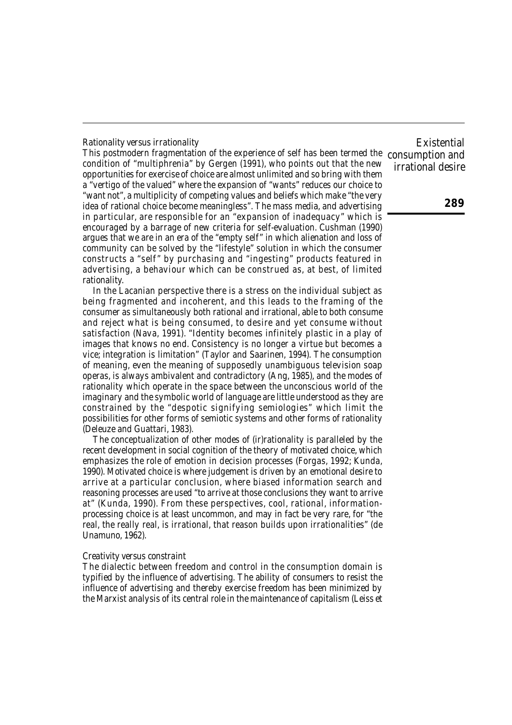#### *Rationality versus irrationality*

This postmodern fragmentation of the experience of self has been termed the consumption and condition of "multiphrenia" by Gergen (1991), who points out that the new opportunities for exercise of choice are almost unlimited and so bring with them a "vertigo of the valued" where the expansion of "wants" reduces our choice to "want not", a multiplicity of competing values and beliefs which make "the very idea of rational choice become meaningless". The mass media, and advertising in particular, are responsible for an "expansion of inadequacy" which is encouraged by a barrage of new criteria for self-evaluation. Cushman (1990) argues that we are in an era of the "empty self" in which alienation and loss of community can be solved by the "lifestyle" solution in which the consumer constructs a "self" by purchasing and "ingesting" products featured in advertising, a behaviour which can be construed as, at best, of limited rationality.

In the Lacanian perspective there is a stress on the individual subject as being fragmented and incoherent, and this leads to the framing of the consumer as simultaneously both rational and irrational, able to both consume and reject what is being consumed, to desire and yet consume without satisfaction (Nava, 1991). "Identity becomes infinitely plastic in a play of images that knows no end. Consistency is no longer a virtue but becomes a vice; integration is limitation" (Taylor and Saarinen, 1994). The consumption of meaning, even the meaning of supposedly unambiguous television soap operas, is always ambivalent and contradictory (Ang, 1985), and the modes of rationality which operate in the space between the unconscious world of the imaginary and the symbolic world of language are little understood as they are constrained by the "despotic signifying semiologies" which limit the possibilities for other forms of semiotic systems and other forms of rationality (Deleuze and Guattari, 1983).

The conceptualization of other modes of (ir)rationality is paralleled by the recent development in social cognition of the theory of motivated choice, which emphasizes the role of emotion in decision processes (Forgas, 1992; Kunda, 1990). Motivated choice is where judgement is driven by an emotional desire to arrive at a particular conclusion, where biased information search and reasoning processes are used "to arrive at those conclusions they want to arrive at" (Kunda, 1990). From these perspectives, cool, rational, informationprocessing choice is at least uncommon, and may in fact be very rare, for "the real, the really real, is irrational, that reason builds upon irrationalities" (de Unamuno, 1962).

#### *Creativity versus constraint*

The dialectic between freedom and control in the consumption domain is typified by the influence of advertising. The ability of consumers to resist the influence of advertising and thereby exercise freedom has been minimized by the Marxist analysis of its central role in the maintenance of capitalism (Leiss *et*

Existential irrational desire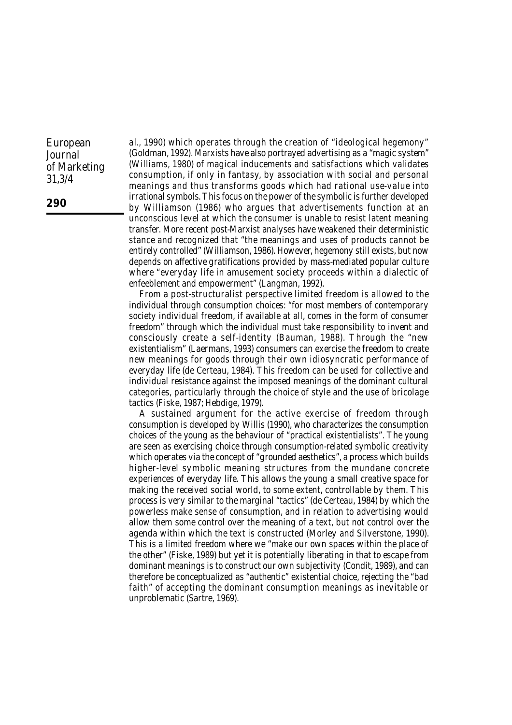**290**

*al.*, 1990) which operates through the creation of "ideological hegemony" (Goldman, 1992). Marxists have also portrayed advertising as a "magic system" (Williams, 1980) of magical inducements and satisfactions which validates consumption, if only in fantasy, by association with social and personal meanings and thus transforms goods which had rational use-value into irrational symbols. This focus on the power of the symbolic is further developed by Williamson (1986) who argues that advertisements function at an unconscious level at which the consumer is unable to resist latent meaning transfer. More recent post-Marxist analyses have weakened their deterministic stance and recognized that "the meanings and uses of products cannot be entirely controlled" (Williamson, 1986). However, hegemony still exists, but now depends on affective gratifications provided by mass-mediated popular culture where "everyday life in amusement society proceeds within a dialectic of enfeeblement and empowerment" (Langman, 1992).

From a post-structuralist perspective limited freedom is allowed to the individual through consumption choices: "for most members of contemporary society individual freedom, if available at all, comes in the form of consumer freedom" through which the individual must take responsibility to invent and consciously create a self-identity (Bauman, 1988). Through the "new existentialism" (Laermans, 1993) consumers can exercise the freedom to create new meanings for goods through their own idiosyncratic performance of everyday life (de Certeau, 1984). This freedom can be used for collective and individual resistance against the imposed meanings of the dominant cultural categories, particularly through the choice of style and the use of bricolage tactics (Fiske, 1987; Hebdige, 1979).

A sustained argument for the active exercise of freedom through consumption is developed by Willis (1990), who characterizes the consumption choices of the young as the behaviour of "practical existentialists". The young are seen as exercising choice through consumption-related symbolic creativity which operates via the concept of "grounded aesthetics", a process which builds higher-level symbolic meaning structures from the mundane concrete experiences of everyday life. This allows the young a small creative space for making the received social world, to some extent, controllable by them. This process is very similar to the marginal "tactics" (de Certeau, 1984) by which the powerless make sense of consumption, and in relation to advertising would allow them some control over the meaning of a text, but not control over the agenda within which the text is constructed (Morley and Silverstone, 1990). This is a limited freedom where we "make our own spaces within the place of the other" (Fiske, 1989) but yet it is potentially liberating in that to escape from dominant meanings is to construct our own subjectivity (Condit, 1989), and can therefore be conceptualized as "authentic" existential choice, rejecting the "bad faith" of accepting the dominant consumption meanings as inevitable or unproblematic (Sartre, 1969).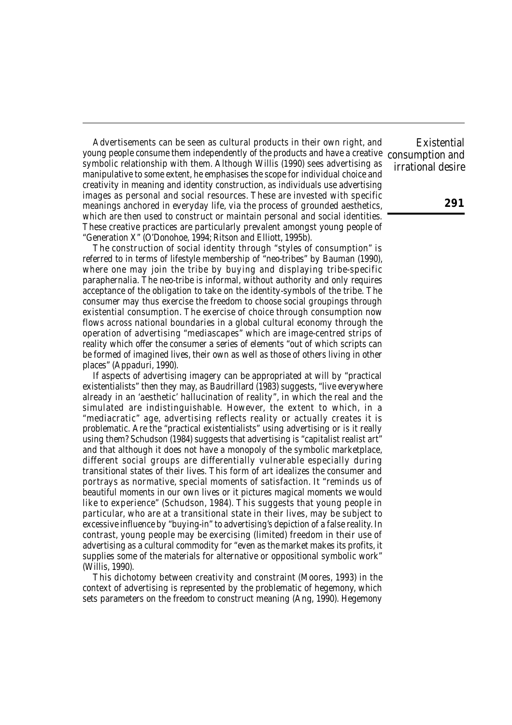Advertisements can be seen as cultural products in their own right, and young people consume them independently of the products and have a creative symbolic relationship with them. Although Willis (1990) sees advertising as manipulative to some extent, he emphasises the scope for individual choice and creativity in meaning and identity construction, as individuals use advertising images as personal and social resources. These are invested with specific meanings anchored in everyday life, via the process of grounded aesthetics, which are then used to construct or maintain personal and social identities. These creative practices are particularly prevalent amongst young people of "Generation X" (O'Donohoe, 1994; Ritson and Elliott, 1995b).

The construction of social identity through "styles of consumption" is referred to in terms of lifestyle membership of "neo-tribes" by Bauman (1990), where one may join the tribe by buying and displaying tribe-specific paraphernalia. The neo-tribe is informal, without authority and only requires acceptance of the obligation to take on the identity-symbols of the tribe. The consumer may thus exercise the freedom to choose social groupings through existential consumption. The exercise of choice through consumption now flows across national boundaries in a global cultural economy through the operation of advertising "mediascapes" which are image-centred strips of reality which offer the consumer a series of elements "out of which scripts can be formed of imagined lives, their own as well as those of others living in other places" (Appaduri, 1990).

If aspects of advertising imagery can be appropriated at will by "practical existentialists" then they may, as Baudrillard (1983) suggests, "live everywhere already in an 'aesthetic' hallucination of reality", in which the real and the simulated are indistinguishable. However, the extent to which, in a "mediacratic" age, advertising reflects reality or actually creates it is problematic. Are the "practical existentialists" using advertising or is it really using them? Schudson (1984) suggests that advertising is "capitalist realist art" and that although it does not have a monopoly of the symbolic marketplace, different social groups are differentially vulnerable especially during transitional states of their lives. This form of art idealizes the consumer and portrays as normative, special moments of satisfaction. It "reminds us of beautiful moments in our own lives or it pictures magical moments we would like to experience" (Schudson, 1984). This suggests that young people in particular, who are at a transitional state in their lives, may be subject to excessive influence by "buying-in" to advertising's depiction of a false reality. In contrast, young people may be exercising (limited) freedom in their use of advertising as a cultural commodity for "even as the market makes its profits, it supplies some of the materials for alternative or oppositional symbolic work" (Willis, 1990).

This dichotomy between creativity and constraint (Moores, 1993) in the context of advertising is represented by the problematic of hegemony, which sets parameters on the freedom to construct meaning (Ang, 1990). Hegemony

Existential consumption and irrational desire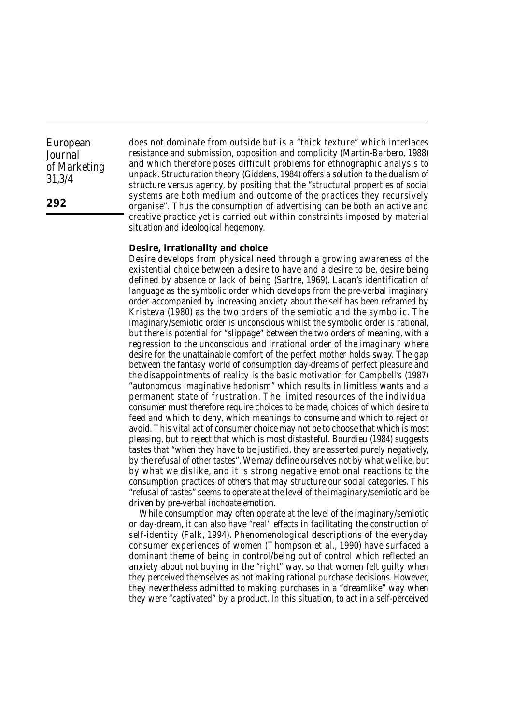**292**

does not dominate from outside but is a "thick texture" which interlaces resistance and submission, opposition and complicity (Martin-Barbero, 1988) and which therefore poses difficult problems for ethnographic analysis to unpack. Structuration theory (Giddens, 1984) offers a solution to the dualism of structure versus agency, by positing that the "structural properties of social systems are both medium and outcome of the practices they recursively organise". Thus the consumption of advertising can be both an active and creative practice yet is carried out within constraints imposed by material situation and ideological hegemony.

# **Desire, irrationality and choice**

Desire develops from physical need through a growing awareness of the existential choice between a desire to have and a desire to be, desire being defined by absence or lack of being (Sartre, 1969). Lacan's identification of language as the symbolic order which develops from the pre-verbal imaginary order accompanied by increasing anxiety about the self has been reframed by Kristeva (1980) as the two orders of the semiotic and the symbolic. The imaginary/semiotic order is unconscious whilst the symbolic order is rational, but there is potential for "slippage" between the two orders of meaning, with a regression to the unconscious and irrational order of the imaginary where desire for the unattainable comfort of the perfect mother holds sway. The gap between the fantasy world of consumption day-dreams of perfect pleasure and the disappointments of reality is the basic motivation for Campbell's (1987) "autonomous imaginative hedonism" which results in limitless wants and a permanent state of frustration. The limited resources of the individual consumer must therefore require choices to be made, choices of which desire to feed and which to deny, which meanings to consume and which to reject or avoid. This vital act of consumer choice may not be to choose that which is most pleasing, but to reject that which is most distasteful. Bourdieu (1984) suggests tastes that "when they have to be justified, they are asserted purely negatively, by the refusal of other tastes". We may define ourselves not by what we like, but by what we dislike, and it is strong negative emotional reactions to the consumption practices of others that may structure our social categories. This "refusal of tastes" seems to operate at the level of the imaginary/semiotic and be driven by pre-verbal inchoate emotion.

While consumption may often operate at the level of the imaginary/semiotic or day-dream, it can also have "real" effects in facilitating the construction of self-identity (Falk, 1994). Phenomenological descriptions of the everyday consumer experiences of women (Thompson *et al.*, 1990) have surfaced a dominant theme of being in control/being out of control which reflected an anxiety about not buying in the "right" way, so that women felt guilty when they perceived themselves as not making rational purchase decisions. However, they nevertheless admitted to making purchases in a "dreamlike" way when they were "captivated" by a product. In this situation, to act in a self-perceived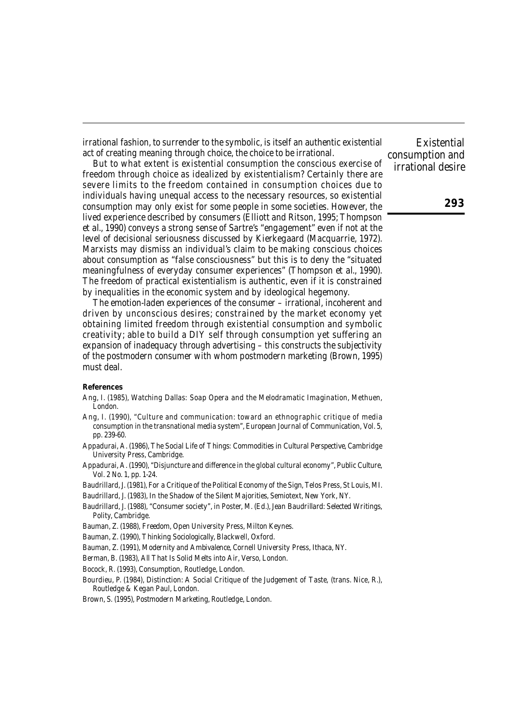irrational fashion, to surrender to the symbolic, is itself an authentic existential act of creating meaning through choice, the choice to be irrational.

But to what extent is existential consumption the conscious exercise of freedom through choice as idealized by existentialism? Certainly there are severe limits to the freedom contained in consumption choices due to individuals having unequal access to the necessary resources, so existential consumption may only exist for some people in some societies. However, the lived experience described by consumers (Elliott and Ritson, 1995; Thompson *et al.*, 1990) conveys a strong sense of Sartre's "engagement" even if not at the level of decisional seriousness discussed by Kierkegaard (Macquarrie, 1972). Marxists may dismiss an individual's claim to be making conscious choices about consumption as "false consciousness" but this is to deny the "situated meaningfulness of everyday consumer experiences" (Thompson *et al.*, 1990). The freedom of practical existentialism is authentic, even if it is constrained by inequalities in the economic system and by ideological hegemony.

The emotion-laden experiences of the consumer – irrational, incoherent and driven by unconscious desires; constrained by the market economy yet obtaining limited freedom through existential consumption and symbolic creativity; able to build a DIY self through consumption yet suffering an expansion of inadequacy through advertising – this constructs the subjectivity of the postmodern consumer with whom postmodern marketing (Brown, 1995) must deal.

#### **References**

- Ang, I. (1985), *Watching Dallas: Soap Opera and the Melodramatic Imagination*, Methuen, London.
- Ang, I. (1990), "Culture and communication: toward an ethnographic critique of media consumption in the transnational media system", *European Journal of Communication,* Vol. 5, pp. 239-60.
- Appadurai, A. (1986), *The Social Life of Things: Commodities in Cultural Perspective*, Cambridge University Press, Cambridge.
- Appadurai, A. (1990), "Disjuncture and difference in the global cultural economy", *Public Culture*, Vol. 2 No. 1, pp. 1-24.

Baudrillard, J. (1981), *For a Critique of the Political Economy of the Sign*, Telos Press, St Louis, MI. Baudrillard, J. (1983), *In the Shadow of the Silent Majorities*, Semiotext, New York, NY.

Baudrillard, J. (1988), "Consumer society", in Poster, M. (Ed.), *Jean Baudrillard: Selected Writings*, Polity, Cambridge.

Bauman, Z. (1988), *Freedom*, Open University Press, Milton Keynes.

Bauman, Z. (1990), *Thinking Sociologically*, Blackwell, Oxford.

Bauman, Z. (1991), *Modernity and Ambivalence*, Cornell University Press, Ithaca, NY.

Berman, B. (1983), *All That Is Solid Melts into Air*, Verso, London.

Bocock, R. (1993), *Consumption,* Routledge, London.

Bourdieu, P. (1984), *Distinction: A Social Critique of the Judgement of Taste,* (trans. Nice, R.), Routledge & Kegan Paul, London.

Brown, S. (1995), *Postmodern Marketing*, Routledge, London.

Existential consumption and irrational desire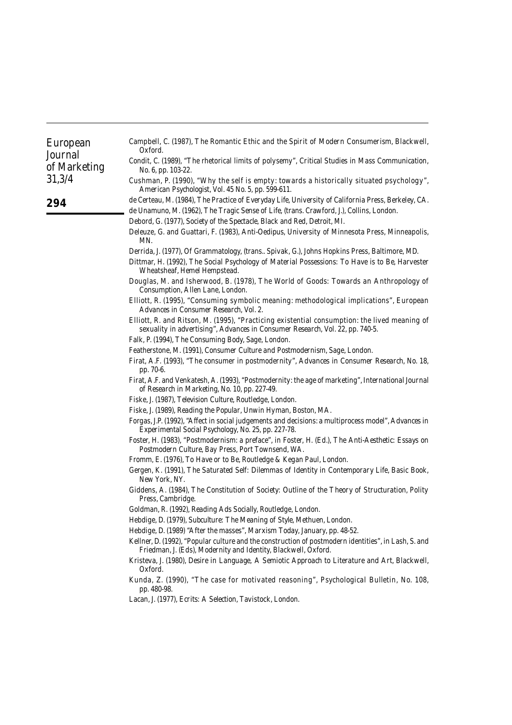| European                | Campbell, C. (1987), The Romantic Ethic and the Spirit of Modern Consumerism, Blackwell,<br>Oxford.                                                                                             |
|-------------------------|-------------------------------------------------------------------------------------------------------------------------------------------------------------------------------------------------|
| Journal<br>of Marketing | Condit, C. (1989), "The rhetorical limits of polysemy", Critical Studies in Mass Communication,<br>No. 6, pp. 103-22.                                                                           |
| 31,3/4                  | Cushman, P. (1990), "Why the self is empty: towards a historically situated psychology",<br>American Psychologist, Vol. 45 No. 5, pp. 599-611.                                                  |
| 294                     | de Certeau, M. (1984), The Practice of Everyday Life, University of California Press, Berkeley, CA.<br>de Unamuno, M. (1962), The Tragic Sense of Life, (trans. Crawford, J.), Collins, London. |
|                         | Debord, G. (1977), Society of the Spectacle, Black and Red, Detroit, MI.                                                                                                                        |
|                         | Deleuze, G. and Guattari, F. (1983), Anti-Oedipus, University of Minnesota Press, Minneapolis,<br>MN.                                                                                           |
|                         | Derrida, J. (1977), Of Grammatology, (trans Spivak, G.), Johns Hopkins Press, Baltimore, MD.                                                                                                    |
|                         | Dittmar, H. (1992), The Social Psychology of Material Possessions: To Have is to Be, Harvester<br>Wheatsheaf, Hemel Hempstead.                                                                  |
|                         | Douglas, M. and Isherwood, B. (1978), The World of Goods: Towards an Anthropology of<br>Consumption, Allen Lane, London.                                                                        |
|                         | Elliott, R. (1995), "Consuming symbolic meaning: methodological implications", European<br>Advances in Consumer Research, Vol. 2.                                                               |
|                         | Elliott, R. and Ritson, M. (1995), "Practicing existential consumption: the lived meaning of<br>sexuality in advertising", Advances in Consumer Research, Vol. 22, pp. 740-5.                   |
|                         | Falk, P. (1994), The Consuming Body, Sage, London.                                                                                                                                              |
|                         | Featherstone, M. (1991), Consumer Culture and Postmodernism, Sage, London.                                                                                                                      |
|                         | Firat, A.F. (1993), "The consumer in postmodernity", Advances in Consumer Research, No. 18,<br>pp. 70-6.                                                                                        |
|                         | Firat, A.F. and Venkatesh, A. (1993), "Postmodernity: the age of marketing", International Journal<br>of Research in Marketing, No. 10, pp. 227-49.                                             |
|                         | Fiske, J. (1987), Television Culture, Routledge, London.                                                                                                                                        |
|                         | Fiske, J. (1989), Reading the Popular, Unwin Hyman, Boston, MA.                                                                                                                                 |
|                         | Forgas, J.P. (1992), "Affect in social judgements and decisions: a multiprocess model", Advances in<br>Experimental Social Psychology, No. 25, pp. 227-78.                                      |
|                         | Foster, H. (1983), "Postmodernism: a preface", in Foster, H. (Ed.), The Anti-Aesthetic: Essays on<br>Postmodern Culture, Bay Press, Port Townsend, WA.                                          |
|                         | Fromm, E. (1976), To Have or to Be, Routledge & Kegan Paul, London.                                                                                                                             |
|                         | Gergen, K. (1991), The Saturated Self: Dilemmas of Identity in Contemporary Life, Basic Book,<br>New York, NY.                                                                                  |
|                         | Giddens, A. (1984), The Constitution of Society: Outline of the Theory of Structuration, Polity<br>Press, Cambridge.                                                                            |
|                         | Goldman, R. (1992), Reading Ads Socially, Routledge, London.                                                                                                                                    |
|                         | Hebdige, D. (1979), Subculture: The Meaning of Style, Methuen, London.                                                                                                                          |
|                         | Hebdige, D. (1989) "After the masses", Marxism Today, January, pp. 48-52.                                                                                                                       |
|                         | Kellner, D. (1992), "Popular culture and the construction of postmodern identities", in Lash, S. and<br>Friedman, J. (Eds), Modernity and Identity, Blackwell, Oxford.                          |
|                         | Kristeva, J. (1980), Desire in Language, A Semiotic Approach to Literature and Art, Blackwell,<br>Oxford.                                                                                       |
|                         | Kunda, Z. (1990), "The case for motivated reasoning", Psychological Bulletin, No. 108,<br>pp. 480-98.                                                                                           |
|                         | Lacan, J. (1977), Ecrits: A Selection, Tavistock, London.                                                                                                                                       |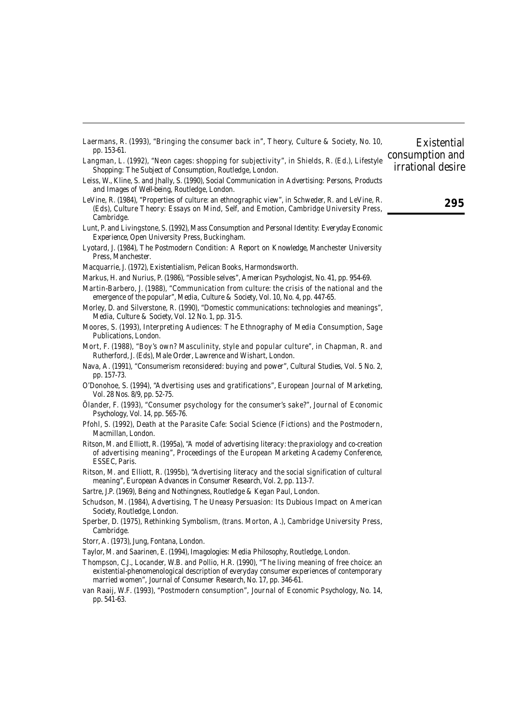| Laermans, R. (1993), "Bringing the consumer back in", Theory, Culture & Society, No. 10,<br>pp. 153-61.                                                                                                                                                          | Existential                          |
|------------------------------------------------------------------------------------------------------------------------------------------------------------------------------------------------------------------------------------------------------------------|--------------------------------------|
| Langman, L. (1992), "Neon cages: shopping for subjectivity", in Shields, R. (Ed.), Lifestyle<br>Shopping: The Subject of Consumption, Routledge, London.                                                                                                         | consumption and<br>irrational desire |
| Leiss, W., Kline, S. and Jhally, S. (1990), Social Communication in Advertising: Persons, Products<br>and Images of Well-being, Routledge, London.                                                                                                               |                                      |
| LeVine, R. (1984), "Properties of culture: an ethnographic view", in Schweder, R. and LeVine, R.<br>(Eds), Culture Theory: Essays on Mind, Self, and Emotion, Cambridge University Press,<br>Cambridge.                                                          | 295                                  |
| Lunt, P. and Livingstone, S. (1992), Mass Consumption and Personal Identity: Everyday Economic<br>Experience, Open University Press, Buckingham.                                                                                                                 |                                      |
| Lyotard, J. (1984), The Postmodern Condition: A Report on Knowledge, Manchester University<br>Press, Manchester.                                                                                                                                                 |                                      |
| Macquarrie, J. (1972), Existentialism, Pelican Books, Harmondsworth.                                                                                                                                                                                             |                                      |
| Markus, H. and Nurius, P. (1986), "Possible selves", American Psychologist, No. 41, pp. 954-69.                                                                                                                                                                  |                                      |
| Martin-Barbero, J. (1988), "Communication from culture: the crisis of the national and the<br>emergence of the popular", Media, Culture & Society, Vol. 10, No. 4, pp. 447-65.                                                                                   |                                      |
| Morley, D. and Silverstone, R. (1990), "Domestic communications: technologies and meanings",<br>Media, Culture & Society, Vol. 12 No. 1, pp. 31-5.                                                                                                               |                                      |
| Moores, S. (1993), Interpreting Audiences: The Ethnography of Media Consumption, Sage<br>Publications, London.                                                                                                                                                   |                                      |
| Mort, F. (1988), "Boy's own? Masculinity, style and popular culture", in Chapman, R. and<br>Rutherford, J. (Eds), Male Order, Lawrence and Wishart, London.                                                                                                      |                                      |
| Nava, A. (1991), "Consumerism reconsidered: buying and power", Cultural Studies, Vol. 5 No. 2,<br>pp. 157-73.                                                                                                                                                    |                                      |
| O'Donohoe, S. (1994), "Advertising uses and gratifications", European Journal of Marketing,<br>Vol. 28 Nos. 8/9, pp. 52-75.                                                                                                                                      |                                      |
| Ölander, F. (1993), "Consumer psychology for the consumer's sake?", Journal of Economic<br>Psychology, Vol. 14, pp. 565-76.                                                                                                                                      |                                      |
| Pfohl, S. (1992), Death at the Parasite Cafe: Social Science (Fictions) and the Postmodern,<br>Macmillan, London.                                                                                                                                                |                                      |
| Ritson, M. and Elliott, R. (1995a), "A model of advertising literacy: the praxiology and co-creation<br>of advertising meaning", Proceedings of the European Marketing Academy Conference,<br>ESSEC, Paris.                                                      |                                      |
| Ritson, M. and Elliott, R. (1995b), "Advertising literacy and the social signification of cultural<br>meaning", European Advances in Consumer Research, Vol. 2, pp. 113-7.                                                                                       |                                      |
| Sartre, J.P. (1969), Being and Nothingness, Routledge & Kegan Paul, London.                                                                                                                                                                                      |                                      |
| Schudson, M. (1984), Advertising, The Uneasy Persuasion: Its Dubious Impact on American<br>Society, Routledge, London.                                                                                                                                           |                                      |
| Sperber, D. (1975), Rethinking Symbolism, (trans. Morton, A.), Cambridge University Press,<br>Cambridge.                                                                                                                                                         |                                      |
| Storr, A. (1973), Jung, Fontana, London.                                                                                                                                                                                                                         |                                      |
| Taylor, M. and Saarinen, E. (1994), Imagologies: Media Philosophy, Routledge, London.                                                                                                                                                                            |                                      |
| Thompson, C.J., Locander, W.B. and Pollio, H.R. (1990), "The living meaning of free choice: an<br>existential-phenomenological description of everyday consumer experiences of contemporary<br>married women", Journal of Consumer Research, No. 17, pp. 346-61. |                                      |
| van Raaij, W.F. (1993), "Postmodern consumption", Journal of Economic Psychology, No. 14,<br>pp. 541-63.                                                                                                                                                         |                                      |